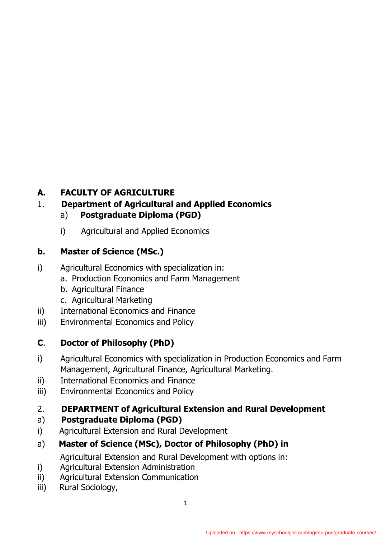## **A. FACULTY OF AGRICULTURE**

#### 1. **Department of Agricultural and Applied Economics**

- a) **Postgraduate Diploma (PGD)**
- i) Agricultural and Applied Economics

### **b. Master of Science (MSc.)**

- i) Agricultural Economics with specialization in:
	- a. Production Economics and Farm Management
	- b. Agricultural Finance
	- c. Agricultural Marketing
- ii) International Economics and Finance
- iii) Environmental Economics and Policy

## **C**. **Doctor of Philosophy (PhD)**

- i) Agricultural Economics with specialization in Production Economics and Farm Management, Agricultural Finance, Agricultural Marketing.
- ii) International Economics and Finance
- iii) Environmental Economics and Policy

### 2. **DEPARTMENT of Agricultural Extension and Rural Development**

### a) **Postgraduate Diploma (PGD)**

i) Agricultural Extension and Rural Development

## a) **Master of Science (MSc), Doctor of Philosophy (PhD) in**

Agricultural Extension and Rural Development with options in:

- i) Agricultural Extension Administration
- ii) Agricultural Extension Communication
- iii) Rural Sociology,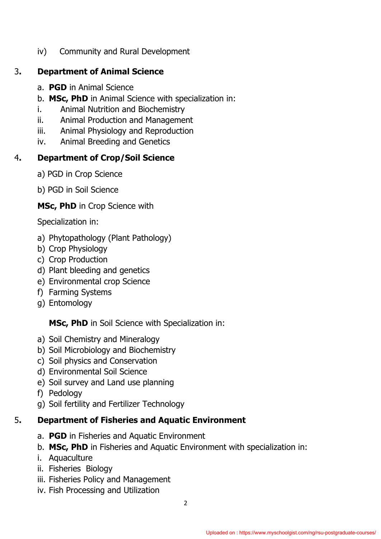iv) Community and Rural Development

# 3**. Department of Animal Science**

- a. **PGD** in Animal Science
- b. **MSc, PhD** in Animal Science with specialization in:
- i. Animal Nutrition and Biochemistry
- ii. Animal Production and Management
- iii. Animal Physiology and Reproduction
- iv. Animal Breeding and Genetics

# 4**. Department of Crop/Soil Science**

a) PGD in Crop Science

b) PGD in Soil Science

**MSc, PhD** in Crop Science with

Specialization in:

- a) Phytopathology (Plant Pathology)
- b) Crop Physiology
- c) Crop Production
- d) Plant bleeding and genetics
- e) Environmental crop Science
- f) Farming Systems
- g) Entomology

**MSc, PhD** in Soil Science with Specialization in:

- a) Soil Chemistry and Mineralogy
- b) Soil Microbiology and Biochemistry
- c) Soil physics and Conservation
- d) Environmental Soil Science
- e) Soil survey and Land use planning
- f) Pedology
- g) Soil fertility and Fertilizer Technology

# 5**. Department of Fisheries and Aquatic Environment**

- a. **PGD** in Fisheries and Aquatic Environment
- b. **MSc, PhD** in Fisheries and Aquatic Environment with specialization in:
- i. Aquaculture
- ii. Fisheries Biology
- iii. Fisheries Policy and Management
- iv. Fish Processing and Utilization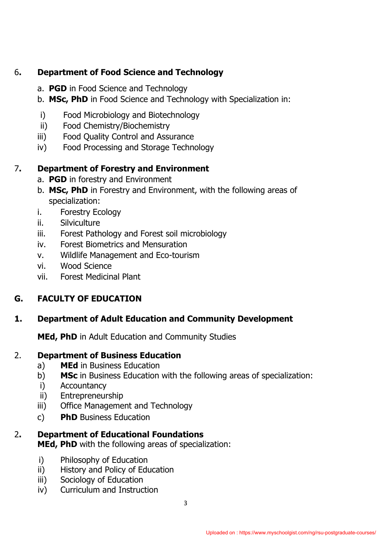### 6**. Department of Food Science and Technology**

- a. **PGD** in Food Science and Technology
- b. **MSc, PhD** in Food Science and Technology with Specialization in:
- i) Food Microbiology and Biotechnology
- ii) Food Chemistry/Biochemistry
- iii) Food Quality Control and Assurance
- iv) Food Processing and Storage Technology

## 7**. Department of Forestry and Environment**

- a. **PGD** in forestry and Environment
- b. **MSc, PhD** in Forestry and Environment, with the following areas of specialization:
- i. Forestry Ecology
- ii. Silviculture
- iii. Forest Pathology and Forest soil microbiology
- iv. Forest Biometrics and Mensuration
- v. Wildlife Management and Eco-tourism
- vi. Wood Science
- vii. Forest Medicinal Plant

## **G. FACULTY OF EDUCATION**

### **1. Department of Adult Education and Community Development**

**MEd, PhD** in Adult Education and Community Studies

## 2. **Department of Business Education**

- a) **MEd** in Business Education
- b) **MSc** in Business Education with the following areas of specialization:
- i) Accountancy
- ii) Entrepreneurship
- iii) Office Management and Technology
- c) **PhD** Business Education
- 2**. Department of Educational Foundations MEd, PhD** with the following areas of specialization:
	- **i**) Philosophy of Education
	- ii) History and Policy of Education
	- iii) Sociology of Education
	- iv) Curriculum and Instruction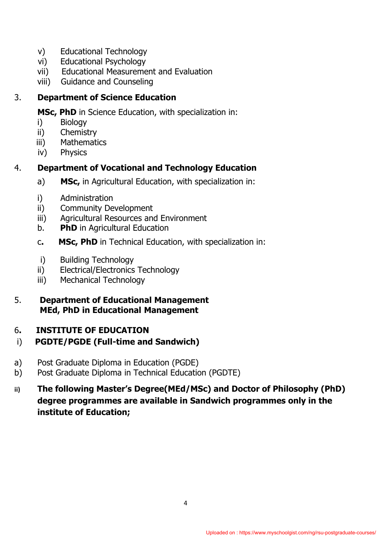- v) Educational Technology
- vi) Educational Psychology
- vii) Educational Measurement and Evaluation
- viii) Guidance and Counseling

## 3. **Department of Science Education**

**MSc, PhD** in Science Education, with specialization in:

- i) Biology
- ii) Chemistry
- iii) Mathematics
- iv) Physics

## 4. **Department of Vocational and Technology Education**

- a) **MSc,** in Agricultural Education, with specialization in:
- i) Administration
- ii) Community Development
- iii) Agricultural Resources and Environment
- b. **PhD** in Agricultural Education
- c**. MSc, PhD** in Technical Education, with specialization in:
- i) Building Technology
- ii) Electrical/Electronics Technology
- iii) Mechanical Technology
- 5. **Department of Educational Management MEd, PhD in Educational Management**

## 6**. INSTITUTE OF EDUCATION**

## i) **PGDTE/PGDE (Full-time and Sandwich)**

- a) Post Graduate Diploma in Education (PGDE)
- b) Post Graduate Diploma in Technical Education (PGDTE)
- **ii) The following Master's Degree(MEd/MSc) and Doctor of Philosophy (PhD) degree programmes are available in Sandwich programmes only in the institute of Education;**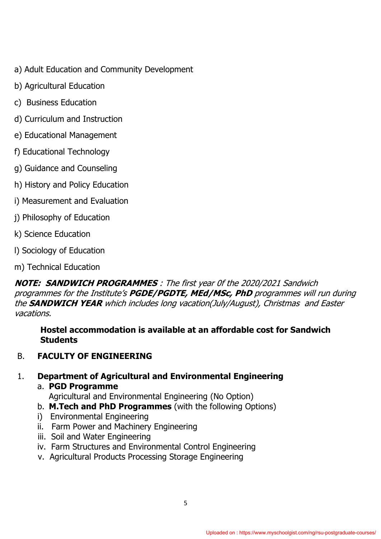- a) Adult Education and Community Development
- b) Agricultural Education
- c) Business Education
- d) Curriculum and Instruction
- e) Educational Management
- f) Educational Technology
- g) Guidance and Counseling
- h) History and Policy Education
- i) Measurement and Evaluation
- j) Philosophy of Education
- k) Science Education
- l) Sociology of Education
- m) Technical Education

**NOTE: SANDWICH PROGRAMMES** : The first year 0f the 2020/2021 Sandwich programmes for the Institute's **PGDE/PGDTE, MEd/MSc, PhD** programmes will run during the **SANDWICH YEAR** which includes long vacation(July/August), Christmas and Easter vacations.

**Hostel accommodation is available at an affordable cost for Sandwich Students**

B. **FACULTY OF ENGINEERING** 

## 1. **Department of Agricultural and Environmental Engineering**

a. **PGD Programme**

Agricultural and Environmental Engineering (No Option)

- b. **M.Tech and PhD Programmes** (with the following Options)
- i) Environmental Engineering
- ii. Farm Power and Machinery Engineering
- iii. Soil and Water Engineering
- iv. Farm Structures and Environmental Control Engineering
- v. Agricultural Products Processing Storage Engineering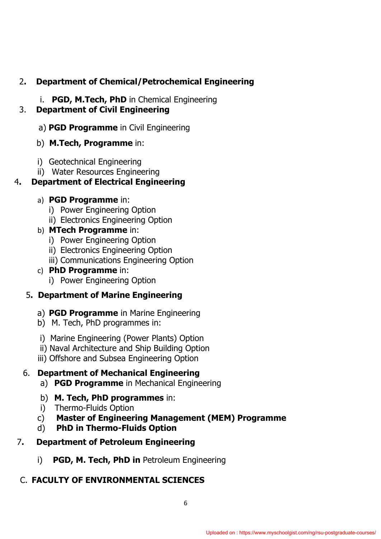## 2**. Department of Chemical/Petrochemical Engineering**

i. **PGD, M.Tech, PhD** in Chemical Engineering

### 3. **Department of Civil Engineering**

- a) **PGD Programme** in Civil Engineering
- b) **M.Tech, Programme** in:
- i) Geotechnical Engineering
- ii) Water Resources Engineering

# 4**. Department of Electrical Engineering**

- a) **PGD Programme** in:
	- i) Power Engineering Option
	- ii) Electronics Engineering Option

# b) **MTech Programme** in:

- i) Power Engineering Option
- ii) Electronics Engineering Option
- iii) Communications Engineering Option

# c) **PhD Programme** in:

i) Power Engineering Option

# 5**. Department of Marine Engineering**

- a) **PGD Programme** in Marine Engineering
- b) M. Tech, PhD programmes in:
- i) Marine Engineering (Power Plants) Option
- ii) Naval Architecture and Ship Building Option
- iii) Offshore and Subsea Engineering Option

# 6. **Department of Mechanical Engineering**

- a) **PGD Programme** in Mechanical Engineering
- b) **M. Tech, PhD programmes** in:
- i) Thermo-Fluids Option
- c) **Master of Engineering Management (MEM) Programme**
- d) **PhD in Thermo-Fluids Option**
- 7**. Department of Petroleum Engineering**
	- i) **PGD, M. Tech, PhD in** Petroleum Engineering

# C. **FACULTY OF ENVIRONMENTAL SCIENCES**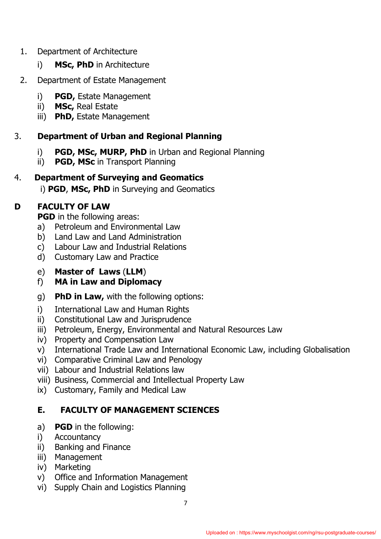#### 1. Department of Architecture

i) **MSc, PhD** in Architecture

## 2. Department of Estate Management

- i) **PGD,** Estate Management
- ii) **MSc,** Real Estate
- iii) **PhD,** Estate Management

## 3. **Department of Urban and Regional Planning**

- i) **PGD, MSc, MURP, PhD** in Urban and Regional Planning
- ii) **PGD, MSc** in Transport Planning

## 4. **Department of Surveying and Geomatics**

i) **PGD, MSc, PhD** in Surveying and Geomatics

# **D FACULTY OF LAW**

**PGD** in the following areas:

- a) Petroleum and Environmental Law
- b) Land Law and Land Administration
- c) Labour Law and Industrial Relations
- d) Customary Law and Practice
- e) **Master of Laws** (**LLM**)

# f) **MA in Law and Diplomacy**

- g) **PhD in Law,** with the following options:
- i) International Law and Human Rights
- ii) Constitutional Law and Jurisprudence
- iii) Petroleum, Energy, Environmental and Natural Resources Law
- iv) Property and Compensation Law
- v) International Trade Law and International Economic Law, including Globalisation
- vi) Comparative Criminal Law and Penology
- vii) Labour and Industrial Relations law
- viii) Business, Commercial and Intellectual Property Law
- ix) Customary, Family and Medical Law

## **E. FACULTY OF MANAGEMENT SCIENCES**

- a) **PGD** in the following:
- i) Accountancy
- ii) Banking and Finance
- iii) Management
- iv) Marketing
- v) Office and Information Management
- vi) Supply Chain and Logistics Planning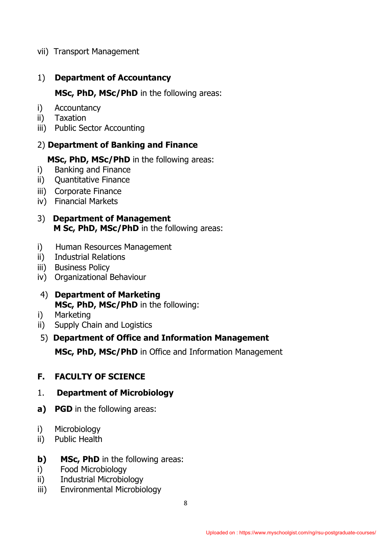vii) Transport Management

#### 1) **Department of Accountancy**

**MSc, PhD, MSc/PhD** in the following areas:

- i) Accountancy
- ii) Taxation
- iii) Public Sector Accounting

#### 2) **Department of Banking and Finance**

 **MSc, PhD, MSc/PhD** in the following areas:

- i) Banking and Finance
- ii) Quantitative Finance
- iii) Corporate Finance
- iv) Financial Markets
- 3) **Department of Management M Sc, PhD, MSc/PhD** in the following areas:
- i) Human Resources Management
- ii) Industrial Relations
- iii) Business Policy
- iv) Organizational Behaviour
- 4) **Department of Marketing MSc, PhD, MSc/PhD** in the following:
- i) Marketing
- ii) Supply Chain and Logistics

#### 5) **Department of Office and Information Management**

 **MSc, PhD, MSc/PhD** in Office and Information Management

#### **F. FACULTY OF SCIENCE**

#### 1. **Department of Microbiology**

- **a) PGD** in the following areas:
- i) Microbiology
- ii) Public Health

#### **b)** MSc, PhD in the following areas:

- i) Food Microbiology
- ii) Industrial Microbiology
- iii) Environmental Microbiology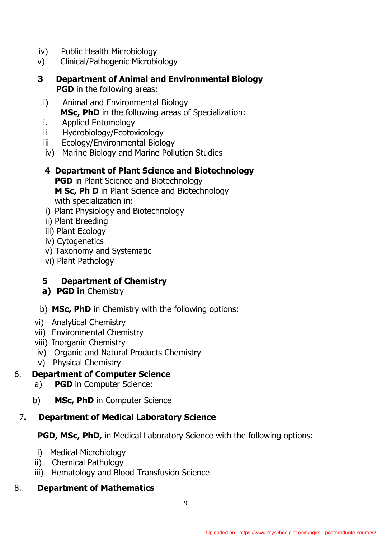- iv) Public Health Microbiology
- v) Clinical/Pathogenic Microbiology
- **3 Department of Animal and Environmental Biology PGD** in the following areas:
	- i) Animal and Environmental Biology **MSc, PhD** in the following areas of Specialization:
	- i. Applied Entomology
	- ii Hydrobiology/Ecotoxicology
	- iii Ecology/Environmental Biology
	- iv) Marine Biology and Marine Pollution Studies
	- **4 Department of Plant Science and Biotechnology PGD** in Plant Science and Biotechnology **M Sc, Ph D** in Plant Science and Biotechnology with specialization in:
	- i) Plant Physiology and Biotechnology
	- ii) Plant Breeding
	- iii) Plant Ecology
	- iv) Cytogenetics
	- v) Taxonomy and Systematic
	- vi) Plant Pathology

#### **5 Department of Chemistry**

- **a) PGD in** Chemistry
- b) **MSc, PhD** in Chemistry with the following options:
- vi) Analytical Chemistry
- vii) Environmental Chemistry
- viii) Inorganic Chemistry
- iv) Organic and Natural Products Chemistry
- v) Physical Chemistry

#### 6. **Department of Computer Science**

- a) **PGD** in Computer Science:
- b) **MSc, PhD** in Computer Science

#### 7**. Department of Medical Laboratory Science**

**PGD, MSc, PhD,** in Medical Laboratory Science with the following options:

- i) Medical Microbiology
- ii) Chemical Pathology
- iii) Hematology and Blood Transfusion Science

#### 8. **Department of Mathematics**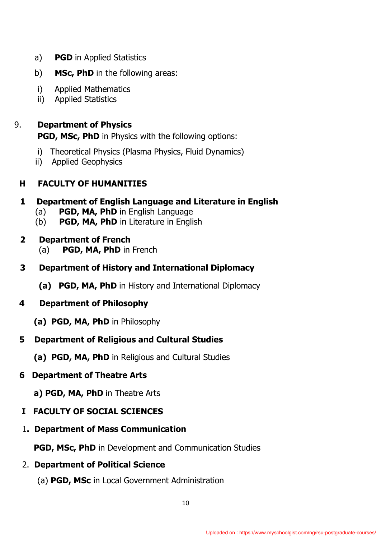- a) **PGD** in Applied Statistics
- b) **MSc, PhD** in the following areas:
- i) Applied Mathematics
- ii) Applied Statistics

9. **Department of Physics PGD, MSc, PhD** in Physics with the following options:

- i) Theoretical Physics (Plasma Physics, Fluid Dynamics)
- ii) Applied Geophysics

## **H FACULTY OF HUMANITIES**

- **1 Department of English Language and Literature in English**
	- (a) **PGD, MA, PhD** in English Language
	- (b) **PGD, MA, PhD** in Literature in English
- **2 Department of French** 
	- (a) **PGD, MA, PhD** in French
- **3 Department of History and International Diplomacy**
	- **(a) PGD, MA, PhD** in History and International Diplomacy

#### **4 Department of Philosophy**

 **(a) PGD, MA, PhD** in Philosophy

### **5 Department of Religious and Cultural Studies**

 **(a) PGD, MA, PhD** in Religious and Cultural Studies

### **6 Department of Theatre Arts**

 **a) PGD, MA, PhD** in Theatre Arts

- **I FACULTY OF SOCIAL SCIENCES**
- 1**. Department of Mass Communication**

**PGD, MSc, PhD** in Development and Communication Studies

# 2. **Department of Political Science**

(a) **PGD, MSc** in Local Government Administration